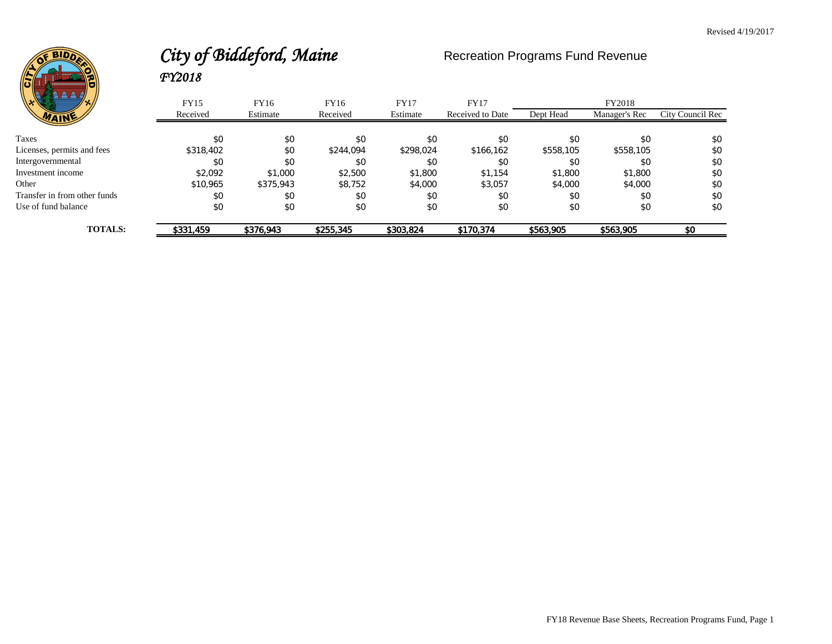

# City of Biddeford, Maine Recreation Programs Fund Revenue *FY2018*

| $\frac{1}{2}$                | <b>FY15</b> | FY16      | FY16      | <b>FY17</b> | <b>FY17</b>      |           | FY2018        |                  |
|------------------------------|-------------|-----------|-----------|-------------|------------------|-----------|---------------|------------------|
| WAINE                        | Received    | Estimate  | Received  | Estimate    | Received to Date | Dept Head | Manager's Rec | City Council Rec |
|                              |             |           |           |             |                  |           |               |                  |
| Taxes                        | \$0         | \$0       | \$0       | \$0         | \$0              | \$0       | \$0           | \$0              |
| Licenses, permits and fees   | \$318,402   | \$0       | \$244,094 | \$298,024   | \$166,162        | \$558,105 | \$558,105     | \$0              |
| Intergovernmental            | \$0         | \$0       | \$0       | \$0         | \$0              | \$0       | \$0           | \$0              |
| Investment income            | \$2.092     | \$1,000   | \$2,500   | \$1,800     | \$1.154          | \$1,800   | \$1,800       | \$0              |
| Other                        | \$10.965    | \$375.943 | \$8,752   | \$4,000     | \$3.057          | \$4,000   | \$4,000       | \$0              |
| Transfer in from other funds | \$0         | \$0       | \$0       | \$0         | \$0              | \$0       | \$0           | \$0              |
| Use of fund balance          | \$0         | \$0       | \$0       | \$0         | \$0              | \$0       | \$0           | \$0              |
| <b>TOTALS:</b>               | \$331,459   | \$376,943 | \$255,345 | \$303,824   | \$170,374        | \$563,905 | \$563,905     | - ⊄∩             |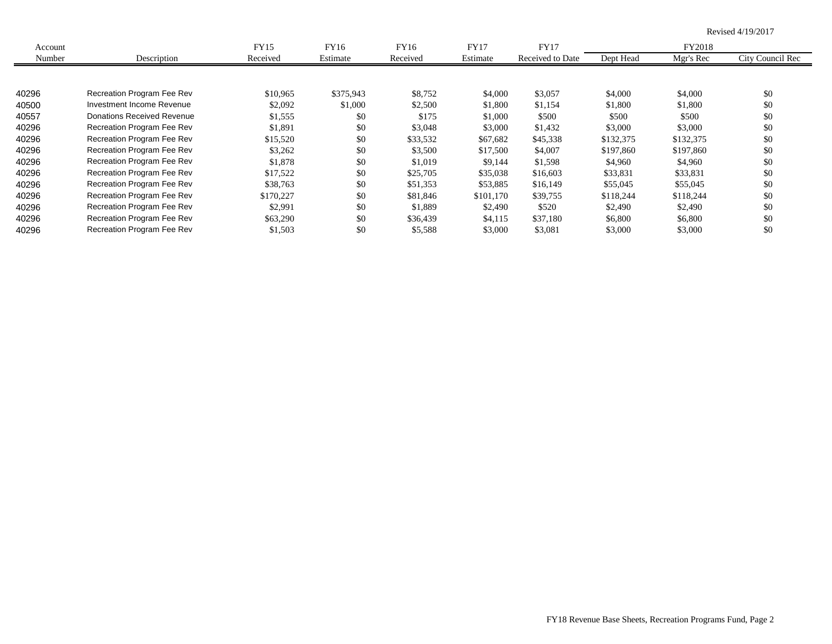|         |                            |             |           |          |             |                  |           |           | Revised 4/19/2017 |
|---------|----------------------------|-------------|-----------|----------|-------------|------------------|-----------|-----------|-------------------|
| Account |                            | <b>FY15</b> | FY16      | FY16     | <b>FY17</b> | FY17             |           | FY2018    |                   |
| Number  | Description                | Received    | Estimate  | Received | Estimate    | Received to Date | Dept Head | Mgr's Rec | City Council Rec  |
|         |                            |             |           |          |             |                  |           |           |                   |
| 40296   | Recreation Program Fee Rev | \$10,965    | \$375,943 | \$8,752  | \$4,000     | \$3,057          | \$4,000   | \$4,000   | \$0               |
| 40500   | Investment Income Revenue  | \$2,092     | \$1,000   | \$2,500  | \$1,800     | \$1,154          | \$1,800   | \$1,800   | \$0               |
| 40557   | Donations Received Revenue | \$1,555     | \$0       | \$175    | \$1,000     | \$500            | \$500     | \$500     | \$0               |
| 40296   | Recreation Program Fee Rev | \$1,891     | \$0       | \$3,048  | \$3,000     | \$1,432          | \$3,000   | \$3,000   | \$0               |
| 40296   | Recreation Program Fee Rev | \$15,520    | \$0       | \$33,532 | \$67,682    | \$45,338         | \$132,375 | \$132,375 | \$0               |
| 40296   | Recreation Program Fee Rev | \$3,262     | \$0       | \$3,500  | \$17,500    | \$4,007          | \$197,860 | \$197,860 | \$0               |
| 40296   | Recreation Program Fee Rev | \$1,878     | \$0       | \$1,019  | \$9,144     | \$1,598          | \$4,960   | \$4,960   | \$0               |
| 40296   | Recreation Program Fee Rev | \$17,522    | \$0       | \$25,705 | \$35,038    | \$16,603         | \$33,831  | \$33,831  | \$0               |
| 40296   | Recreation Program Fee Rev | \$38,763    | \$0       | \$51,353 | \$53,885    | \$16,149         | \$55,045  | \$55,045  | \$0               |
| 40296   | Recreation Program Fee Rev | \$170,227   | \$0       | \$81,846 | \$101,170   | \$39,755         | \$118,244 | \$118,244 | \$0               |
| 40296   | Recreation Program Fee Rev | \$2,991     | \$0       | \$1,889  | \$2,490     | \$520            | \$2,490   | \$2,490   | \$0               |
| 40296   | Recreation Program Fee Rev | \$63,290    | \$0       | \$36,439 | \$4,115     | \$37,180         | \$6,800   | \$6,800   | \$0               |
| 40296   | Recreation Program Fee Rev | \$1,503     | \$0       | \$5,588  | \$3,000     | \$3,081          | \$3,000   | \$3,000   | \$0               |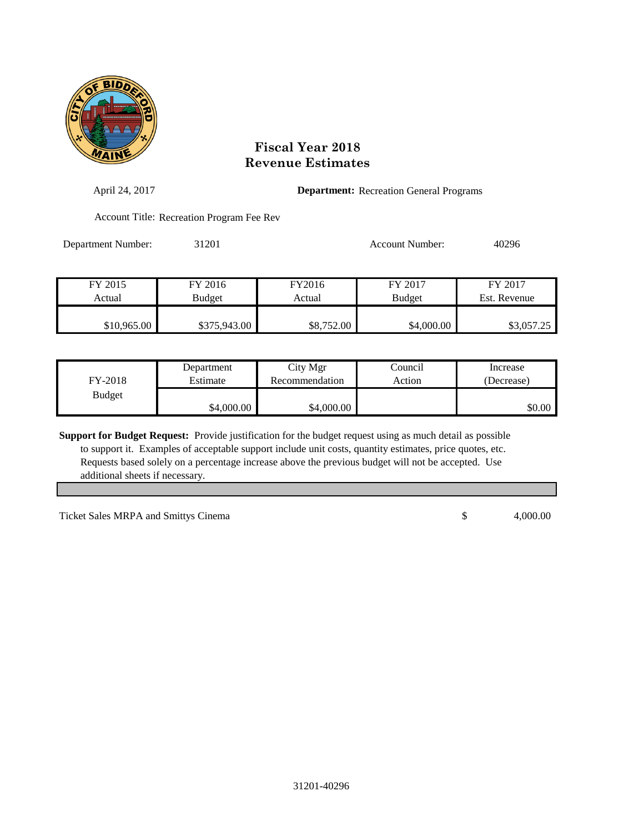

| April 24, 2017     | <b>Department:</b> Recreation General Programs |            |                        |              |
|--------------------|------------------------------------------------|------------|------------------------|--------------|
|                    | Account Title: Recreation Program Fee Rev      |            |                        |              |
| Department Number: | 31201                                          |            | <b>Account Number:</b> | 40296        |
| FY 2015            | FY 2016                                        | FY2016     | FY 2017                | FY 2017      |
| Actual             | <b>Budget</b>                                  | Actual     | <b>Budget</b>          | Est. Revenue |
| \$10,965.00        | \$375,943.00                                   | \$8,752.00 | \$4,000.00             | \$3,057.25   |

| FY-2018       | Department | City Mgr       | Council | Increase   |
|---------------|------------|----------------|---------|------------|
|               | Estimate   | Recommendation | Action  | (Decrease) |
| <b>Budget</b> | \$4,000.00 | \$4,000.00     |         | \$0.00     |

**Support for Budget Request:** Provide justification for the budget request using as much detail as possible to support it. Examples of acceptable support include unit costs, quantity estimates, price quotes, etc. Requests based solely on a percentage increase above the previous budget will not be accepted. Use additional sheets if necessary.

Ticket Sales MRPA and Smittys Cinema  $\qquad$  4,000.00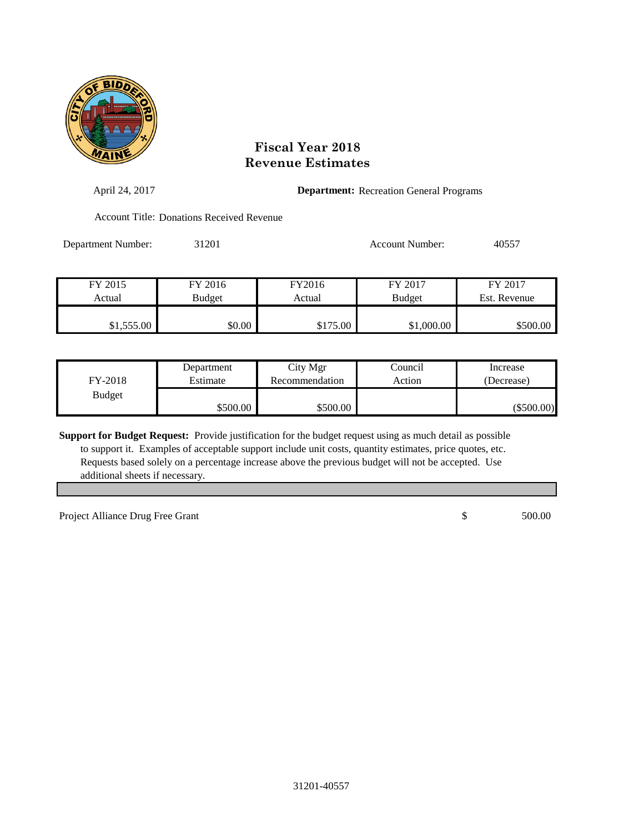

| April 24, 2017     | <b>Department:</b> Recreation General Programs   |                  |                          |                         |
|--------------------|--------------------------------------------------|------------------|--------------------------|-------------------------|
|                    | <b>Account Title: Donations Received Revenue</b> |                  |                          |                         |
| Department Number: | 31201                                            |                  | <b>Account Number:</b>   | 40557                   |
| FY 2015<br>Actual  | FY 2016<br><b>Budget</b>                         | FY2016<br>Actual | FY 2017<br><b>Budget</b> | FY 2017<br>Est. Revenue |
| \$1,555.00         | \$0.00                                           | \$175.00         | \$1,000.00               | \$500.00                |

| FY-2018       | Department | City Mgr       | Council | Increase     |
|---------------|------------|----------------|---------|--------------|
|               | Estimate   | Recommendation | Action  | (Decrease)   |
| <b>Budget</b> | \$500.00   | \$500.00       |         | $(\$500.00)$ |

**Support for Budget Request:** Provide justification for the budget request using as much detail as possible to support it. Examples of acceptable support include unit costs, quantity estimates, price quotes, etc. Requests based solely on a percentage increase above the previous budget will not be accepted. Use additional sheets if necessary.

Project Alliance Drug Free Grant  $\qquad$  500.00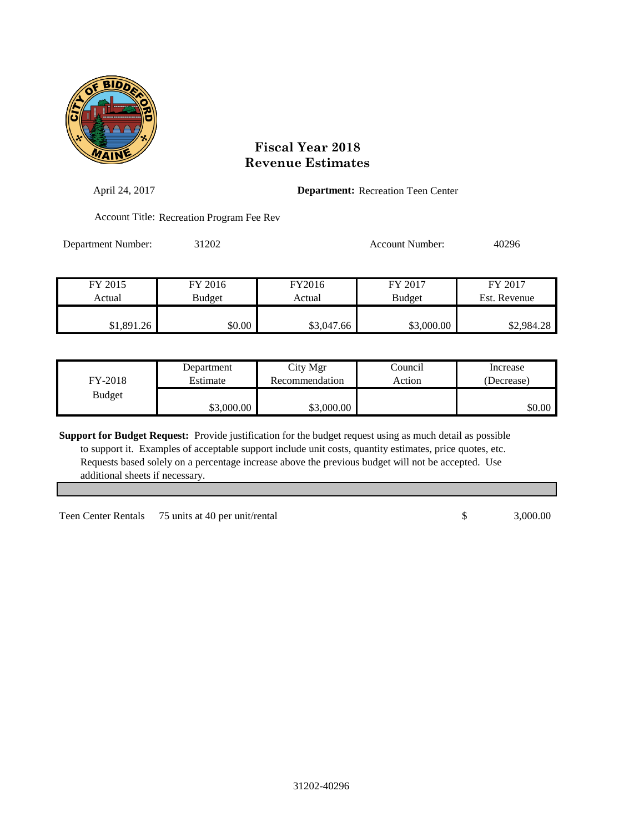

| April 24, 2017     |                                           | <b>Department:</b> Recreation Teen Center |                        |              |
|--------------------|-------------------------------------------|-------------------------------------------|------------------------|--------------|
|                    | Account Title: Recreation Program Fee Rev |                                           |                        |              |
| Department Number: | 31202                                     |                                           | <b>Account Number:</b> | 40296        |
| FY 2015            | FY 2016                                   | FY2016                                    | FY 2017                | FY 2017      |
| Actual             | <b>Budget</b>                             | Actual                                    | <b>Budget</b>          | Est. Revenue |
| \$1,891.26         | \$0.00                                    | \$3,047.66                                | \$3,000.00             | \$2,984.28   |

| FY-2018       | Department | City Mgr       | Council | Increase   |
|---------------|------------|----------------|---------|------------|
|               | Estimate   | Recommendation | Action  | (Decrease) |
| <b>Budget</b> | \$3,000.00 | \$3,000.00     |         | \$0.00     |

**Support for Budget Request:** Provide justification for the budget request using as much detail as possible to support it. Examples of acceptable support include unit costs, quantity estimates, price quotes, etc. Requests based solely on a percentage increase above the previous budget will not be accepted. Use additional sheets if necessary.

Teen Center Rentals 75 units at 40 per unit/rental \$ 3,000.00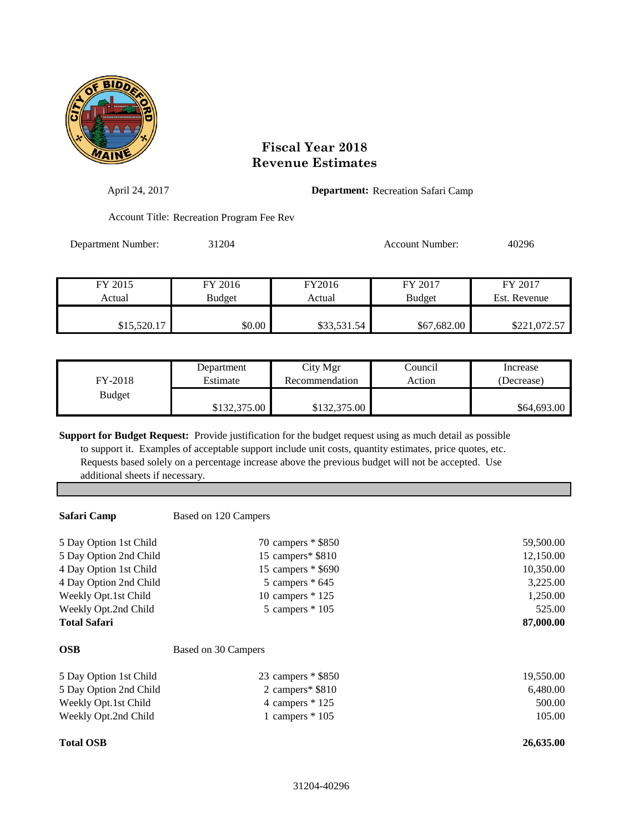

| April 24, 2017     |                                           |                  | <b>Department:</b> Recreation Safari Camp |                         |  |
|--------------------|-------------------------------------------|------------------|-------------------------------------------|-------------------------|--|
|                    | Account Title: Recreation Program Fee Rev |                  |                                           |                         |  |
| Department Number: | 31204                                     |                  | <b>Account Number:</b>                    | 40296                   |  |
| FY 2015<br>Actual  | FY 2016<br><b>Budget</b>                  | FY2016<br>Actual | FY 2017<br><b>Budget</b>                  | FY 2017<br>Est. Revenue |  |
| \$15,520.17        | \$0.00                                    | \$33,531.54      | \$67,682.00                               | \$221,072.57            |  |

| FY-2018       | Department   | City Mgr       | Council | Increase    |
|---------------|--------------|----------------|---------|-------------|
|               | Estimate     | Recommendation | Action  | (Decrease)  |
| <b>Budget</b> | \$132,375.00 | \$132,375.00   |         | \$64,693.00 |

**Support for Budget Request:** Provide justification for the budget request using as much detail as possible to support it. Examples of acceptable support include unit costs, quantity estimates, price quotes, etc. Requests based solely on a percentage increase above the previous budget will not be accepted. Use additional sheets if necessary.

| Safari Camp            | Based on 120 Campers |           |
|------------------------|----------------------|-----------|
|                        |                      |           |
| 5 Day Option 1st Child | 70 campers * \$850   | 59,500.00 |
| 5 Day Option 2nd Child | 15 campers* $$810$   | 12,150.00 |
| 4 Day Option 1st Child | 15 campers * \$690   | 10,350.00 |
| 4 Day Option 2nd Child | 5 campers $*$ 645    | 3,225.00  |
| Weekly Opt.1st Child   | 10 campers $* 125$   | 1,250.00  |
| Weekly Opt.2nd Child   | 5 campers $*105$     | 525.00    |
| Total Safari           |                      | 87,000.00 |
| OSB                    | Based on 30 Campers  |           |
| 5 Day Option 1st Child | 23 campers * \$850   | 19,550.00 |
| 5 Day Option 2nd Child | 2 campers $$810$     | 6,480.00  |
| Weekly Opt.1st Child   | 4 campers $* 125$    | 500.00    |
| Weekly Opt.2nd Child   | 1 campers $*105$     | 105.00    |
|                        |                      |           |

**Total OSB 26,635.00**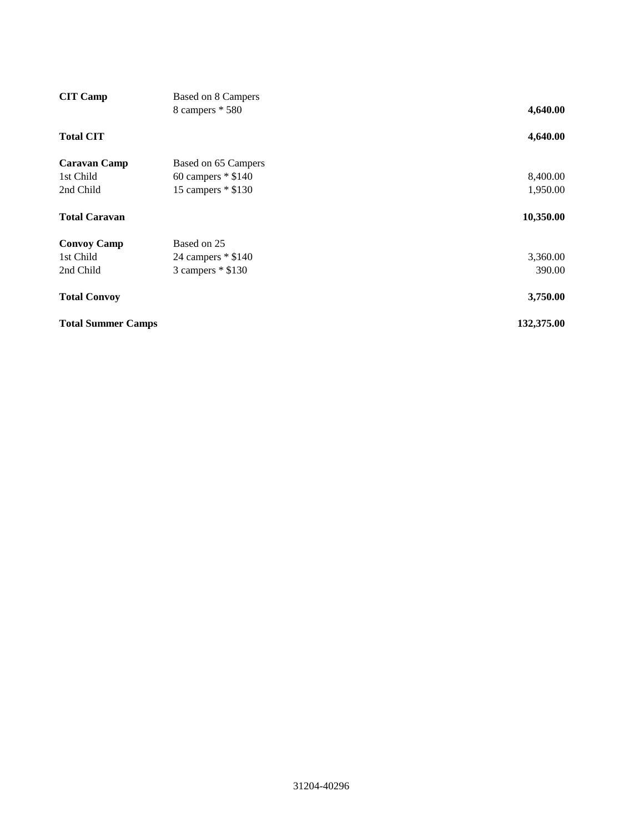| <b>CIT Camp</b>           | Based on 8 Campers   |            |
|---------------------------|----------------------|------------|
|                           | 8 campers * 580      | 4,640.00   |
| <b>Total CIT</b>          |                      | 4,640.00   |
| <b>Caravan Camp</b>       | Based on 65 Campers  |            |
| 1st Child                 | 60 campers $*$ \$140 | 8,400.00   |
| 2nd Child                 | 15 campers * \$130   | 1,950.00   |
| <b>Total Caravan</b>      |                      | 10,350.00  |
| <b>Convoy Camp</b>        | Based on 25          |            |
| 1st Child                 | 24 campers * \$140   | 3,360.00   |
| 2nd Child                 | 3 campers * \$130    | 390.00     |
| <b>Total Convoy</b>       |                      | 3,750.00   |
| <b>Total Summer Camps</b> |                      | 132,375.00 |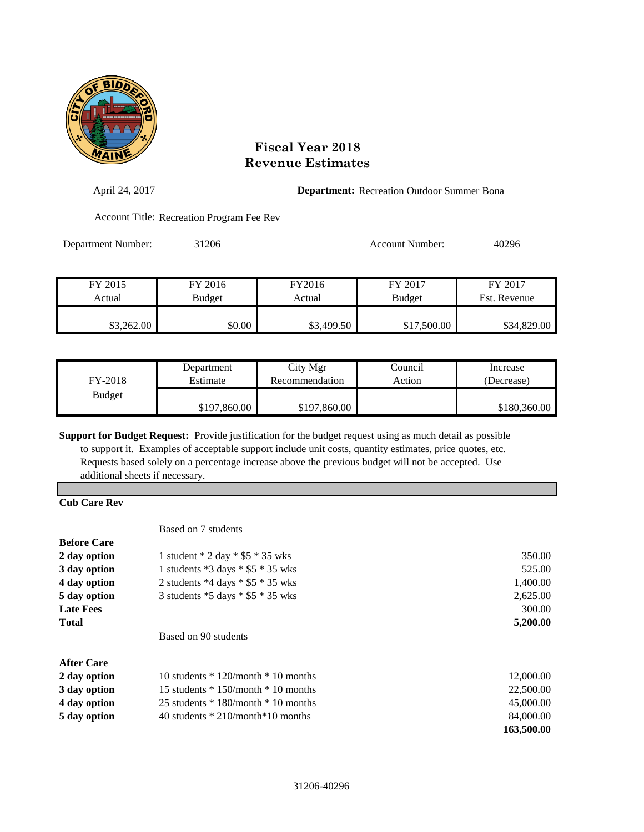

| April 24, 2017     |                                           |            | <b>Department:</b> Recreation Outdoor Summer Bona |              |  |
|--------------------|-------------------------------------------|------------|---------------------------------------------------|--------------|--|
|                    | Account Title: Recreation Program Fee Rev |            |                                                   |              |  |
| Department Number: | 31206                                     |            | <b>Account Number:</b>                            | 40296        |  |
| FY 2015            | FY 2016                                   | FY2016     | FY 2017                                           | FY 2017      |  |
| Actual             | <b>Budget</b>                             | Actual     | <b>Budget</b>                                     | Est. Revenue |  |
| \$3,262.00         | \$0.00                                    | \$3,499.50 | \$17,500.00                                       | \$34,829.00  |  |

| FY-2018       | Department   | City Mgr       | Council | Increase     |
|---------------|--------------|----------------|---------|--------------|
|               | Estimate     | Recommendation | Action  | (Decrease)   |
| <b>Budget</b> | \$197.860.00 | \$197,860.00   |         | \$180,360.00 |

**Support for Budget Request:** Provide justification for the budget request using as much detail as possible to support it. Examples of acceptable support include unit costs, quantity estimates, price quotes, etc. Requests based solely on a percentage increase above the previous budget will not be accepted. Use additional sheets if necessary.

### **Cub Care Rev**

#### Based on 7 students

| <b>Before Care</b> |                                          |            |
|--------------------|------------------------------------------|------------|
| 2 day option       | 1 student $*$ 2 day $*$ \$5 $*$ 35 wks   | 350.00     |
| 3 day option       | 1 students $*3$ days $*$ \$5 $*$ 35 wks  | 525.00     |
| 4 day option       | 2 students $*4$ days $* $5 * 35$ wks     | 1,400.00   |
| 5 day option       | 3 students $*5$ days $*$ \$5 $*$ 35 wks  | 2,625.00   |
| <b>Late Fees</b>   |                                          | 300.00     |
| <b>Total</b>       |                                          | 5,200.00   |
|                    | Based on 90 students                     |            |
| <b>After Care</b>  |                                          |            |
| 2 day option       | 10 students $* 120$ /month $* 10$ months | 12,000.00  |
| 3 day option       | 15 students $* 150$ /month $* 10$ months | 22,500.00  |
| 4 day option       | 25 students $* 180$ /month $* 10$ months | 45,000.00  |
| 5 day option       | 40 students $* 210$ /month $* 10$ months | 84,000.00  |
|                    |                                          | 163,500.00 |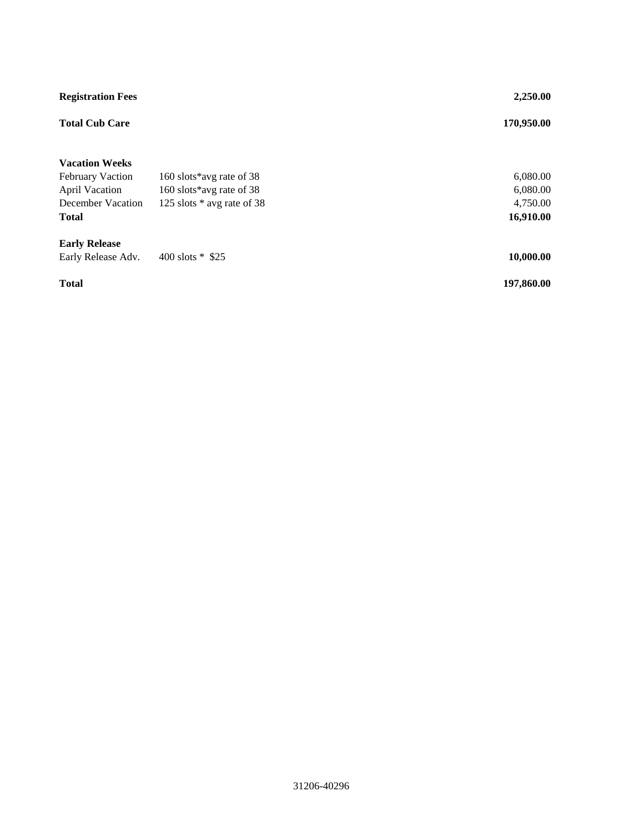| <b>Registration Fees</b> |                            | 2,250.00   |
|--------------------------|----------------------------|------------|
| <b>Total Cub Care</b>    |                            | 170,950.00 |
| <b>Vacation Weeks</b>    |                            |            |
| <b>February Vaction</b>  | 160 slots*avg rate of 38   | 6,080.00   |
| <b>April Vacation</b>    | 160 slots*avg rate of 38   | 6,080.00   |
| <b>December Vacation</b> | 125 slots * avg rate of 38 | 4,750.00   |
| <b>Total</b>             |                            | 16,910.00  |
| <b>Early Release</b>     |                            |            |
| Early Release Adv.       | 400 slots $*$ \$25         | 10,000.00  |
| <b>Total</b>             |                            | 197,860.00 |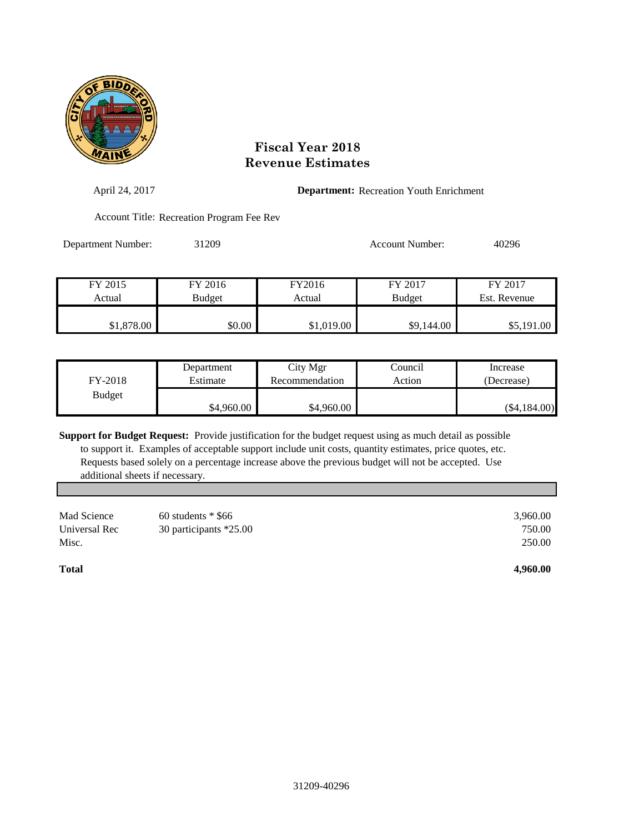

| April 24, 2017     |                                           |            | <b>Department:</b> Recreation Youth Enrichment |              |
|--------------------|-------------------------------------------|------------|------------------------------------------------|--------------|
|                    | Account Title: Recreation Program Fee Rev |            |                                                |              |
| Department Number: | 31209                                     |            | <b>Account Number:</b>                         | 40296        |
| FY 2015            | FY 2016                                   | FY2016     | FY 2017                                        | FY 2017      |
| Actual             | <b>Budget</b>                             | Actual     | <b>Budget</b>                                  | Est. Revenue |
| \$1,878.00         | \$0.00                                    | \$1,019.00 | \$9,144.00                                     | \$5,191.00   |

| FY-2018       | Department | City Mgr       | Council | Increase       |
|---------------|------------|----------------|---------|----------------|
|               | Estimate   | Recommendation | Action  | (Decrease)     |
| <b>Budget</b> | \$4,960.00 | \$4,960.00     |         | $(\$4,184.00)$ |

**Support for Budget Request:** Provide justification for the budget request using as much detail as possible to support it. Examples of acceptable support include unit costs, quantity estimates, price quotes, etc. Requests based solely on a percentage increase above the previous budget will not be accepted. Use additional sheets if necessary.

Mad Science 60 students \* \$66 3,960.00 Universal Rec 30 participants \*25.00 750.00 Misc. 250.00

**Total 4,960.00**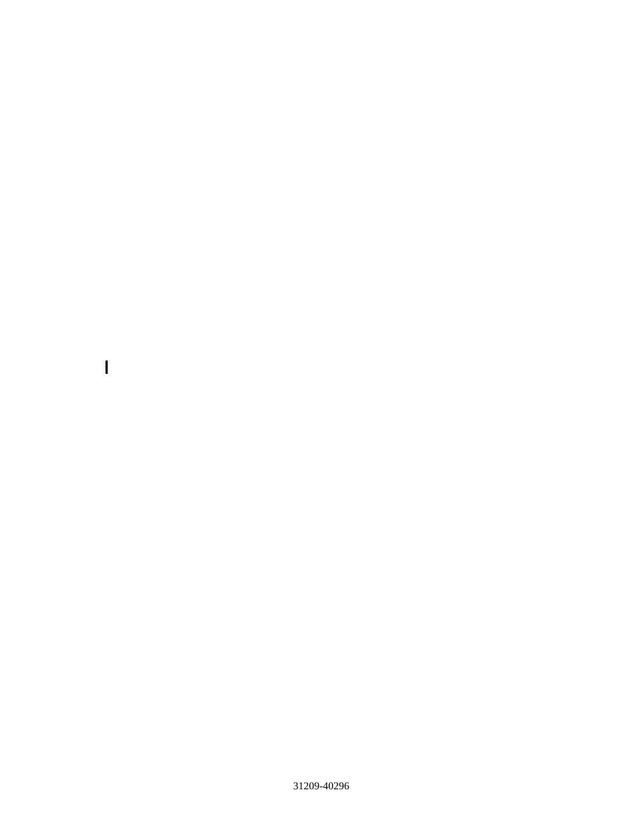31209-40296

 $\overline{\mathbf{I}}$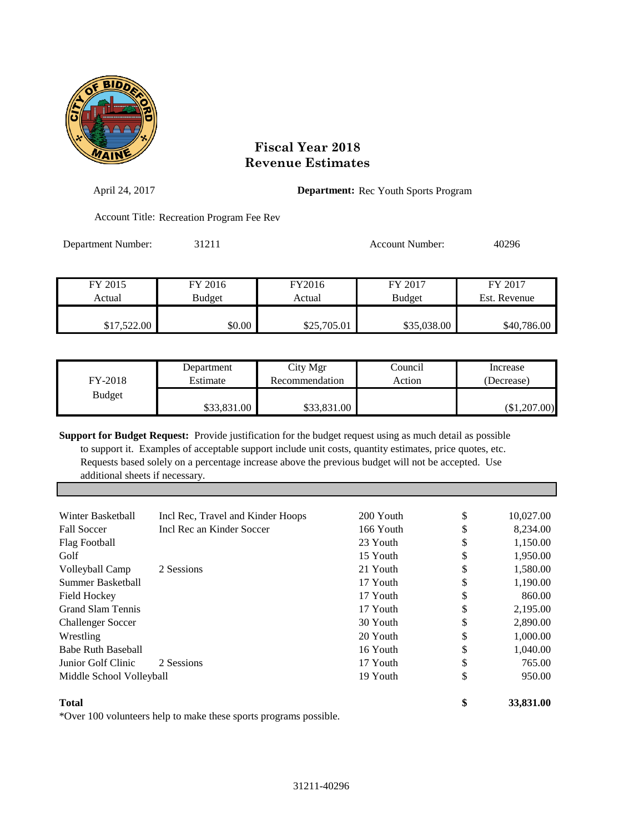

| April 24, 2017     |                                           |             | <b>Department:</b> Rec Youth Sports Program |              |  |
|--------------------|-------------------------------------------|-------------|---------------------------------------------|--------------|--|
|                    | Account Title: Recreation Program Fee Rev |             |                                             |              |  |
| Department Number: | 31211                                     |             | <b>Account Number:</b>                      | 40296        |  |
| FY 2015            | FY 2016                                   | FY2016      | FY 2017                                     | FY 2017      |  |
| Actual             | <b>Budget</b>                             | Actual      | <b>Budget</b>                               | Est. Revenue |  |
| \$17,522.00        | \$0.00                                    | \$25,705.01 | \$35,038.00                                 | \$40,786.00  |  |

| FY-2018       | Department  | City Mgr       | Council | Increase     |
|---------------|-------------|----------------|---------|--------------|
|               | Estimate    | Recommendation | Action  | (Decrease)   |
| <b>Budget</b> | \$33,831.00 | \$33,831.00    |         | (\$1,207.00) |

**Support for Budget Request:** Provide justification for the budget request using as much detail as possible to support it. Examples of acceptable support include unit costs, quantity estimates, price quotes, etc. Requests based solely on a percentage increase above the previous budget will not be accepted. Use additional sheets if necessary.

| Winter Basketball         | Incl Rec. Travel and Kinder Hoops | 200 Youth | \$ | 10,027.00 |
|---------------------------|-----------------------------------|-----------|----|-----------|
| Fall Soccer               | Incl Rec an Kinder Soccer         | 166 Youth | \$ | 8,234.00  |
| Flag Football             |                                   | 23 Youth  | \$ | 1,150.00  |
| Golf                      |                                   | 15 Youth  | \$ | 1,950.00  |
| Volleyball Camp           | 2 Sessions                        | 21 Youth  | \$ | 1,580.00  |
| Summer Basketball         |                                   | 17 Youth  | S  | 1,190.00  |
| Field Hockey              |                                   | 17 Youth  | S  | 860.00    |
| <b>Grand Slam Tennis</b>  |                                   | 17 Youth  | S  | 2,195.00  |
| <b>Challenger Soccer</b>  |                                   | 30 Youth  | \$ | 2.890.00  |
| Wrestling                 |                                   | 20 Youth  | \$ | 1,000.00  |
| <b>Babe Ruth Baseball</b> |                                   | 16 Youth  | S  | 1,040.00  |
| Junior Golf Clinic        | 2 Sessions                        | 17 Youth  | \$ | 765.00    |
| Middle School Volleyball  |                                   | 19 Youth  | J  | 950.00    |

### **Total \$ 33,831.00**

\*Over 100 volunteers help to make these sports programs possible.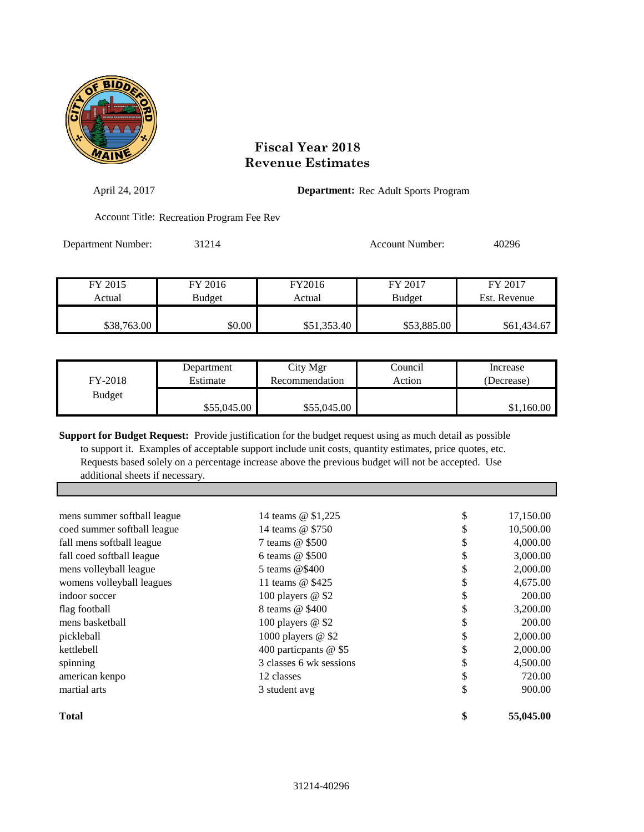

| April 24, 2017     |                                           |             | <b>Department:</b> Rec Adult Sports Program |              |
|--------------------|-------------------------------------------|-------------|---------------------------------------------|--------------|
|                    | Account Title: Recreation Program Fee Rev |             |                                             |              |
| Department Number: | 31214                                     |             | <b>Account Number:</b>                      | 40296        |
| FY 2015            | FY 2016                                   | FY2016      | FY 2017                                     | FY 2017      |
| Actual             | <b>Budget</b>                             | Actual      | <b>Budget</b>                               | Est. Revenue |
| \$38,763.00        | \$0.00                                    | \$51,353.40 | \$53,885.00                                 | \$61,434.67  |

| FY-2018       | Department  | City Mgr       | Council | Increase   |
|---------------|-------------|----------------|---------|------------|
|               | Estimate    | Recommendation | Action  | (Decrease) |
| <b>Budget</b> | \$55,045.00 | \$55,045.00    |         | \$1,160.00 |

| \$<br>\$<br>\$<br>\$<br>\$ | 2,000.00<br>2,000.00<br>4,500.00<br>720.00<br>900.00 |
|----------------------------|------------------------------------------------------|
|                            |                                                      |
|                            |                                                      |
|                            |                                                      |
|                            |                                                      |
|                            |                                                      |
|                            | 200.00                                               |
| \$                         | 3,200.00                                             |
| \$                         | 200.00                                               |
| \$                         | 4,675.00                                             |
| \$                         | 2,000.00                                             |
| \$                         | 3,000.00                                             |
| \$                         | 4,000.00                                             |
| \$                         | 10,500.00                                            |
| \$                         | 17,150.00                                            |
|                            |                                                      |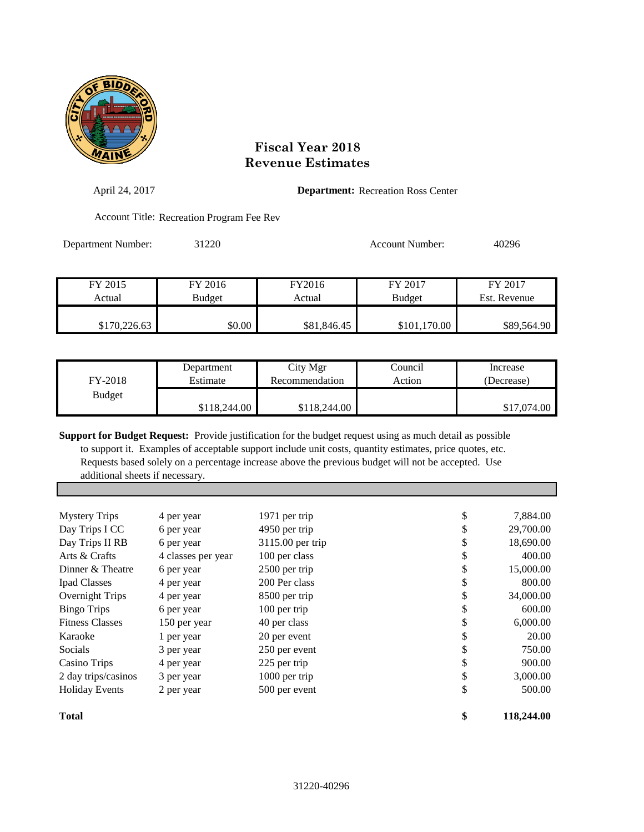

| April 24, 2017     |                                           |             |                 | <b>Department:</b> Recreation Ross Center |  |  |
|--------------------|-------------------------------------------|-------------|-----------------|-------------------------------------------|--|--|
|                    | Account Title: Recreation Program Fee Rev |             |                 |                                           |  |  |
| Department Number: | 31220                                     |             | Account Number: | 40296                                     |  |  |
| FY 2015            | FY 2016                                   | FY2016      | FY 2017         | FY 2017                                   |  |  |
| Actual             | Budget                                    | Actual      | <b>Budget</b>   | Est. Revenue                              |  |  |
| \$170,226.63       | \$0.00                                    | \$81,846.45 | \$101,170.00    | \$89,564.90                               |  |  |

| FY-2018       | Department   | City Mgr       | Council | Increase    |
|---------------|--------------|----------------|---------|-------------|
|               | Estimate     | Recommendation | Action  | (Decrease)  |
| <b>Budget</b> | \$118,244.00 | \$118,244.00   |         | \$17,074.00 |

| <b>Mystery Trips</b>   | 4 per year         | 1971 per trip    | \$ | 7,884.00   |
|------------------------|--------------------|------------------|----|------------|
| Day Trips I CC         | 6 per year         | 4950 per trip    | \$ | 29,700.00  |
| Day Trips II RB        | 6 per year         | 3115.00 per trip | \$ | 18,690.00  |
| Arts & Crafts          | 4 classes per year | 100 per class    | \$ | 400.00     |
| Dinner & Theatre       | 6 per year         | $2500$ per trip  | \$ | 15,000.00  |
| <b>Ipad Classes</b>    | 4 per year         | 200 Per class    | S  | 800.00     |
| <b>Overnight Trips</b> | 4 per year         | 8500 per trip    | \$ | 34,000.00  |
| <b>Bingo Trips</b>     | 6 per year         | 100 per trip     | \$ | 600.00     |
| <b>Fitness Classes</b> | 150 per year       | 40 per class     | \$ | 6,000.00   |
| Karaoke                | 1 per year         | 20 per event     | S  | 20.00      |
| Socials                | 3 per year         | 250 per event    | S  | 750.00     |
| Casino Trips           | 4 per year         | 225 per trip     | \$ | 900.00     |
| 2 day trips/casinos    | 3 per year         | 1000 per trip    |    | 3,000.00   |
| <b>Holiday Events</b>  | 2 per year         | 500 per event    | \$ | 500.00     |
| <b>Total</b>           |                    |                  | \$ | 118,244.00 |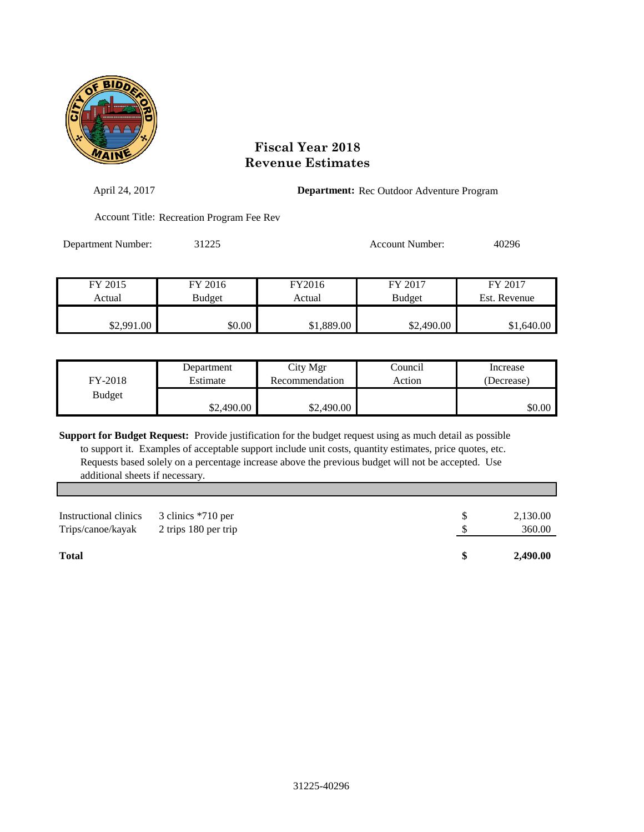

| April 24, 2017     |                                           |            | <b>Department:</b> Rec Outdoor Adventure Program |              |  |
|--------------------|-------------------------------------------|------------|--------------------------------------------------|--------------|--|
|                    | Account Title: Recreation Program Fee Rev |            |                                                  |              |  |
| Department Number: | 31225                                     |            | <b>Account Number:</b>                           | 40296        |  |
| FY 2015            | FY 2016                                   | FY2016     | FY 2017                                          | FY 2017      |  |
| Actual             | <b>Budget</b>                             | Actual     | <b>Budget</b>                                    | Est. Revenue |  |
| \$2,991.00         | \$0.00                                    | \$1,889.00 | \$2,490.00                                       | \$1,640.00   |  |

| FY-2018       | Department | City Mgr       | Council | Increase   |
|---------------|------------|----------------|---------|------------|
|               | Estimate   | Recommendation | Action  | (Decrease) |
| <b>Budget</b> | \$2,490.00 | \$2,490.00     |         | \$0.00     |

| Instructional clinics | 3 clinics *710 per   | 2,130.00 |
|-----------------------|----------------------|----------|
| Trips/canoe/kayak     | 2 trips 180 per trip | 360.00   |
| <b>Total</b>          |                      | 2,490.00 |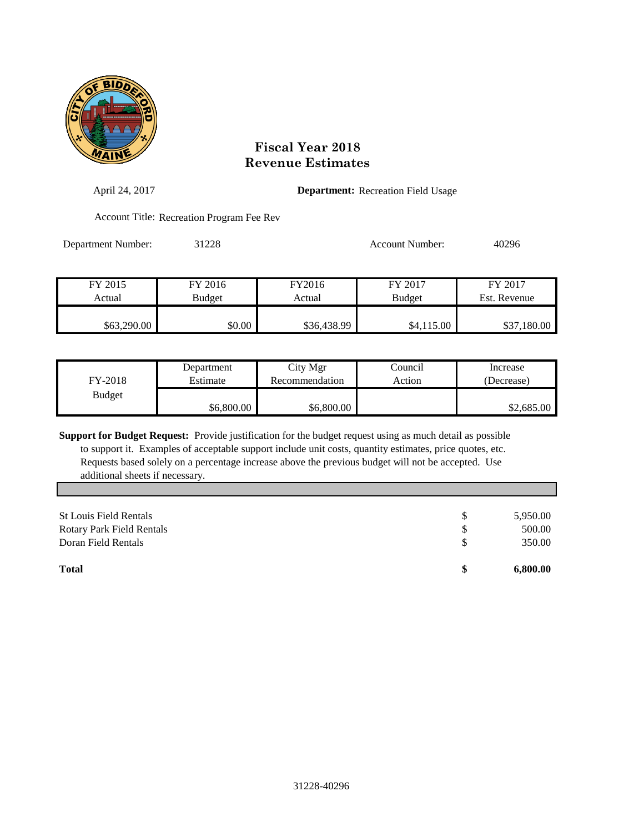

| April 24, 2017     | <b>Department:</b> Recreation Field Usage |                  |                          |                         |
|--------------------|-------------------------------------------|------------------|--------------------------|-------------------------|
|                    | Account Title: Recreation Program Fee Rev |                  |                          |                         |
| Department Number: | 31228                                     |                  | Account Number:          | 40296                   |
| FY 2015<br>Actual  | FY 2016<br>Budget                         | FY2016<br>Actual | FY 2017<br><b>Budget</b> | FY 2017<br>Est. Revenue |
|                    |                                           |                  |                          |                         |
| \$63,290.00        | \$0.00                                    | \$36,438.99      | \$4,115.00               | \$37,180.00             |

| FY-2018       | Department | City Mgr       | Council | Increase   |
|---------------|------------|----------------|---------|------------|
|               | Estimate   | Recommendation | Action  | (Decrease) |
| <b>Budget</b> | \$6,800.00 | \$6,800.00     |         | \$2,685.00 |

| St Louis Field Rentals           | \$  | 5,950.00 |
|----------------------------------|-----|----------|
| <b>Rotary Park Field Rentals</b> | S   | 500.00   |
| Doran Field Rentals              | S.  | 350.00   |
| <b>Total</b>                     | \$. | 6,800.00 |